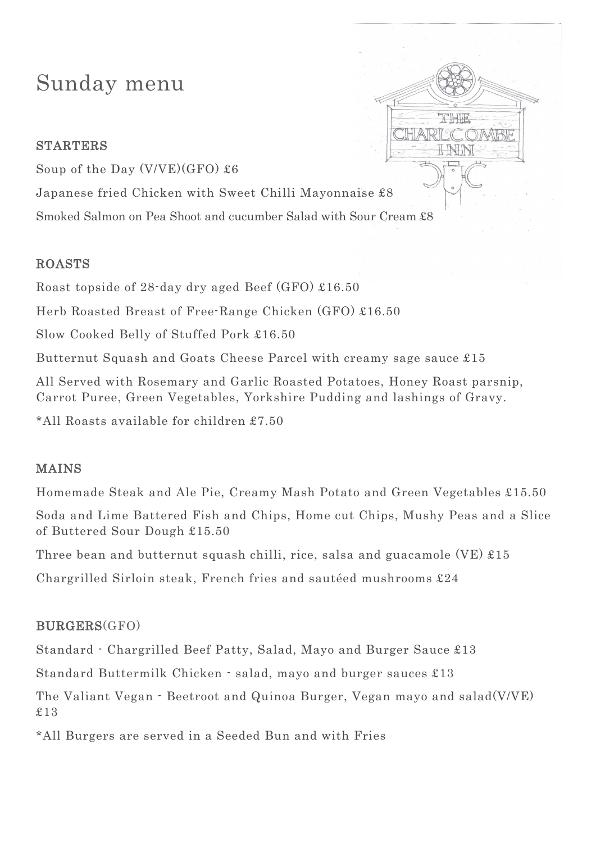# Sunday menu

## STARTERS

Soup of the Day  $(V/VE)(GFO)$  £6

Japanese fried Chicken with Sweet Chilli Mayonnaise £8

Smoked Salmon on Pea Shoot and cucumber Salad with Sour Cream £8

#### ROASTS

Roast topside of 28-day dry aged Beef (GFO) £16.50

Herb Roasted Breast of Free-Range Chicken (GFO) £16.50

Slow Cooked Belly of Stuffed Pork £16.50

Butternut Squash and Goats Cheese Parcel with creamy sage sauce £15

All Served with Rosemary and Garlic Roasted Potatoes, Honey Roast parsnip, Carrot Puree, Green Vegetables, Yorkshire Pudding and lashings of Gravy.

\*All Roasts available for children £7.50

## MAINS

Homemade Steak and Ale Pie, Creamy Mash Potato and Green Vegetables £15.50

Soda and Lime Battered Fish and Chips, Home cut Chips, Mushy Peas and a Slice of Buttered Sour Dough £15.50

Three bean and butternut squash chilli, rice, salsa and guacamole (VE) £15

Chargrilled Sirloin steak, French fries and sautéed mushrooms £24

## BURGERS(GFO)

Standard - Chargrilled Beef Patty, Salad, Mayo and Burger Sauce £13

Standard Buttermilk Chicken - salad, mayo and burger sauces £13

The Valiant Vegan - Beetroot and Quinoa Burger, Vegan mayo and salad(V/VE) £13

\*All Burgers are served in a Seeded Bun and with Fries